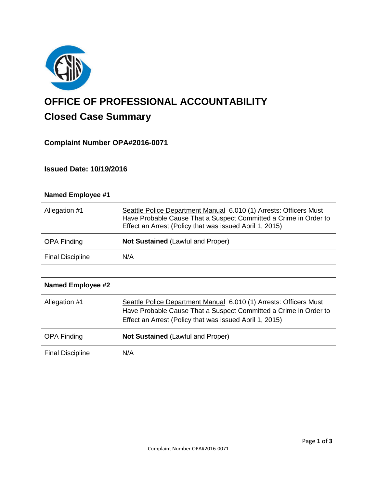

# **OFFICE OF PROFESSIONAL ACCOUNTABILITY Closed Case Summary**

## **Complaint Number OPA#2016-0071**

## **Issued Date: 10/19/2016**

| <b>Named Employee #1</b> |                                                                                                                                                                                                  |
|--------------------------|--------------------------------------------------------------------------------------------------------------------------------------------------------------------------------------------------|
| Allegation #1            | Seattle Police Department Manual 6.010 (1) Arrests: Officers Must<br>Have Probable Cause That a Suspect Committed a Crime in Order to<br>Effect an Arrest (Policy that was issued April 1, 2015) |
| <b>OPA Finding</b>       | Not Sustained (Lawful and Proper)                                                                                                                                                                |
| <b>Final Discipline</b>  | N/A                                                                                                                                                                                              |

| <b>Named Employee #2</b> |                                                                                                                                                                                                  |
|--------------------------|--------------------------------------------------------------------------------------------------------------------------------------------------------------------------------------------------|
| Allegation #1            | Seattle Police Department Manual 6.010 (1) Arrests: Officers Must<br>Have Probable Cause That a Suspect Committed a Crime in Order to<br>Effect an Arrest (Policy that was issued April 1, 2015) |
| <b>OPA Finding</b>       | <b>Not Sustained (Lawful and Proper)</b>                                                                                                                                                         |
| <b>Final Discipline</b>  | N/A                                                                                                                                                                                              |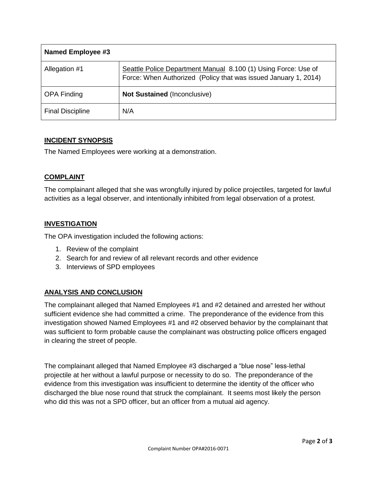| Named Employee #3       |                                                                                                                                   |
|-------------------------|-----------------------------------------------------------------------------------------------------------------------------------|
| Allegation #1           | Seattle Police Department Manual 8.100 (1) Using Force: Use of<br>Force: When Authorized (Policy that was issued January 1, 2014) |
| <b>OPA Finding</b>      | <b>Not Sustained (Inconclusive)</b>                                                                                               |
| <b>Final Discipline</b> | N/A                                                                                                                               |

## **INCIDENT SYNOPSIS**

The Named Employees were working at a demonstration.

## **COMPLAINT**

The complainant alleged that she was wrongfully injured by police projectiles, targeted for lawful activities as a legal observer, and intentionally inhibited from legal observation of a protest.

## **INVESTIGATION**

The OPA investigation included the following actions:

- 1. Review of the complaint
- 2. Search for and review of all relevant records and other evidence
- 3. Interviews of SPD employees

## **ANALYSIS AND CONCLUSION**

The complainant alleged that Named Employees #1 and #2 detained and arrested her without sufficient evidence she had committed a crime. The preponderance of the evidence from this investigation showed Named Employees #1 and #2 observed behavior by the complainant that was sufficient to form probable cause the complainant was obstructing police officers engaged in clearing the street of people.

The complainant alleged that Named Employee #3 discharged a "blue nose" less-lethal projectile at her without a lawful purpose or necessity to do so. The preponderance of the evidence from this investigation was insufficient to determine the identity of the officer who discharged the blue nose round that struck the complainant. It seems most likely the person who did this was not a SPD officer, but an officer from a mutual aid agency.